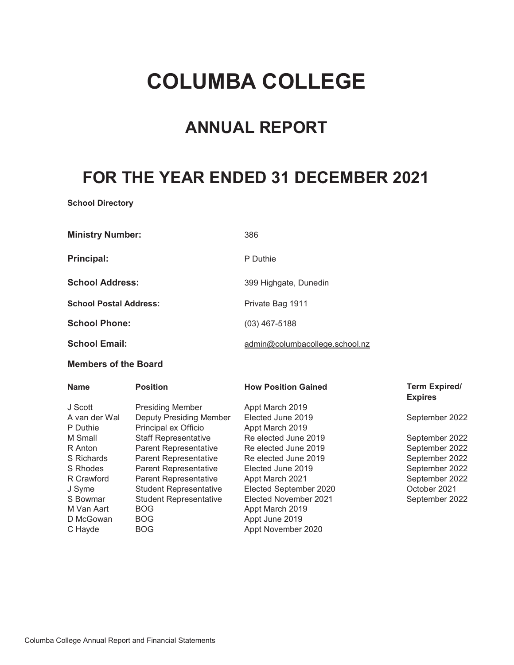# COLUMBA COLLEGE

# ANNUAL REPORT

# FOR THE YEAR ENDED 31 DECEMBER 2021

School Directory

| <b>Ministry Number:</b>       | 386                            |
|-------------------------------|--------------------------------|
| Principal:                    | P Duthie                       |
| <b>School Address:</b>        | 399 Highgate, Dunedin          |
| <b>School Postal Address:</b> | Private Bag 1911               |
| <b>School Phone:</b>          | $(03)$ 467-5188                |
| <b>School Email:</b>          | admin@columbacollege.school.nz |

# Members of the Board

| <b>Name</b>   | <b>Position</b>                | <b>How Position Gained</b> | <b>Term Expired/</b><br><b>Expires</b> |
|---------------|--------------------------------|----------------------------|----------------------------------------|
| J Scott       | <b>Presiding Member</b>        | Appt March 2019            |                                        |
| A van der Wal | <b>Deputy Presiding Member</b> | Elected June 2019          | September 2022                         |
| P Duthie      | Principal ex Officio           | Appt March 2019            |                                        |
| M Small       | <b>Staff Representative</b>    | Re elected June 2019       | September 2022                         |
| R Anton       | <b>Parent Representative</b>   | Re elected June 2019       | September 2022                         |
| S Richards    | <b>Parent Representative</b>   | Re elected June 2019       | September 2022                         |
| S Rhodes      | <b>Parent Representative</b>   | Elected June 2019          | September 2022                         |
| R Crawford    | <b>Parent Representative</b>   | Appt March 2021            | September 2022                         |
| J Syme        | <b>Student Representative</b>  | Elected September 2020     | October 2021                           |
| S Bowmar      | <b>Student Representative</b>  | Elected November 2021      | September 2022                         |
| M Van Aart    | <b>BOG</b>                     | Appt March 2019            |                                        |
| D McGowan     | <b>BOG</b>                     | Appt June 2019             |                                        |
| C Hayde       | <b>BOG</b>                     | Appt November 2020         |                                        |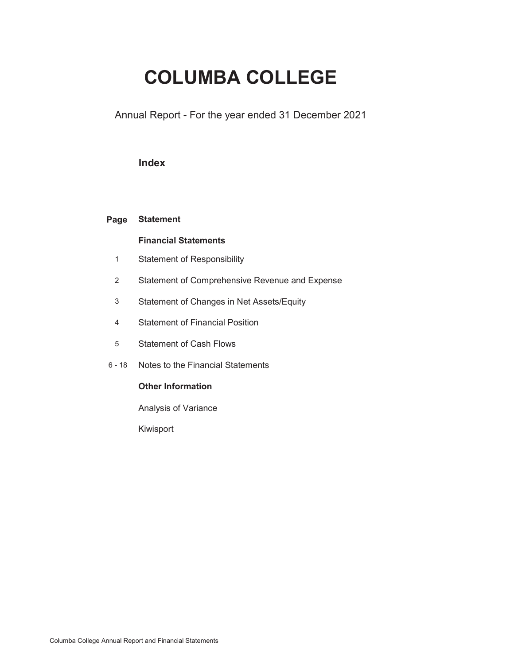# COLUMBA COLLEGE

Annual Report - For the year ended 31 December 2021

# Index

#### Page **Statement**

# Financial Statements

- 1 Statement of Responsibility
- 2 Statement of Comprehensive Revenue and Expense
- 3 Statement of Changes in Net Assets/Equity
- 4 Statement of Financial Position
- 5 Statement of Cash Flows
- 6 18 Notes to the Financial Statements

# Other Information

Analysis of Variance

Kiwisport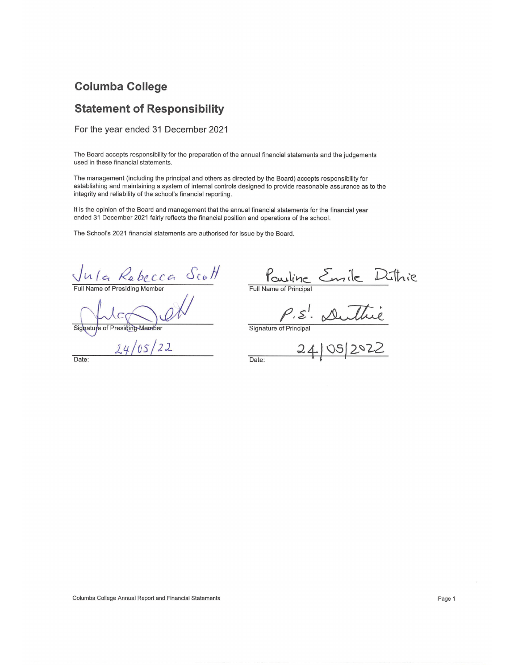# **Columba College**

# **Statement of Responsibility**

For the year ended 31 December 2021

The Board accepts responsibility for the preparation of the annual financial statements and the judgements used in these financial statements.

The management (including the principal and others as directed by the Board) accepts responsibility for establishing and maintaining a system of internal controls designed to provide reasonable assurance as to the integrity and reliability of the school's financial reporting.

It is the opinion of the Board and management that the annual financial statements for the financial year ended 31 December 2021 fairly reflects the financial position and operations of the school.

The School's 2021 financial statements are authorised for issue by the Board.

 $\sqrt{n/c}$   $\&$  beccc<sub>o</sub>  $\&$ 

Signature of Presiding-Member

Date:

 $24/05/22$ 

Pouline Emile Dithie

 $\frac{\rho_{.s}!}{\frac{1}{\sigma_{\text{Signature of Principal}}}} \frac{\partial \mathcal{L}}{\partial \mathcal{L}}}{24105222}$ Date:

Columba College Annual Report and Financial Statements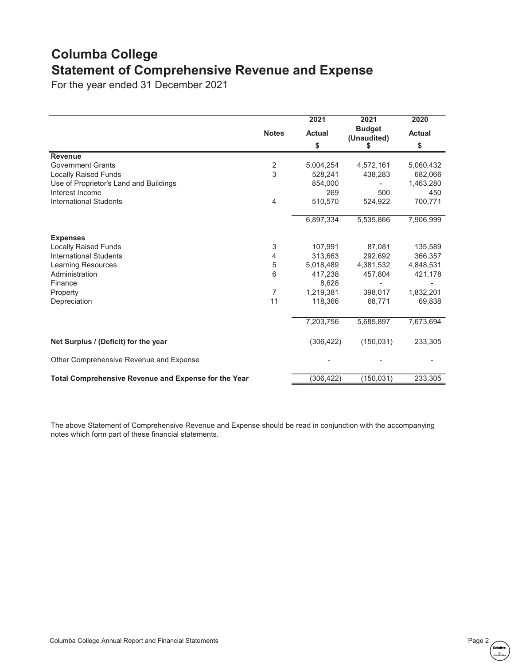# Columba College Statement of Comprehensive Revenue and Expense

For the year ended 31 December 2021

|                                                      |                | 2021                | 2021                              | 2020                |
|------------------------------------------------------|----------------|---------------------|-----------------------------------|---------------------|
|                                                      | <b>Notes</b>   | <b>Actual</b><br>\$ | <b>Budget</b><br>(Unaudited)<br>S | <b>Actual</b><br>\$ |
| <b>Revenue</b>                                       |                |                     |                                   |                     |
| <b>Government Grants</b>                             | 2              | 5,004,254           | 4,572,161                         | 5,060,432           |
| <b>Locally Raised Funds</b>                          | 3              | 528.241             | 438,283                           | 682,066             |
| Use of Proprietor's Land and Buildings               |                | 854,000             |                                   | 1,463,280           |
| Interest Income                                      |                | 269                 | 500                               | 450                 |
| <b>International Students</b>                        | 4              | 510,570             | 524,922                           | 700,771             |
|                                                      |                | 6,897,334           | 5,535,866                         | 7,906,999           |
| <b>Expenses</b>                                      |                |                     |                                   |                     |
| <b>Locally Raised Funds</b>                          | 3              | 107,991             | 87,081                            | 135,589             |
| <b>International Students</b>                        | 4              | 313,663             | 292,692                           | 366,357             |
| <b>Learning Resources</b>                            | 5              | 5,018,489           | 4,381,532                         | 4,848,531           |
| Administration                                       | 6              | 417,238             | 457,804                           | 421,178             |
| Finance                                              |                | 8,628               |                                   |                     |
| Property                                             | $\overline{7}$ | 1,219,381           | 398.017                           | 1,832,201           |
| Depreciation                                         | 11             | 118,366             | 68,771                            | 69,838              |
|                                                      |                | 7,203,756           | 5,685,897                         | 7,673,694           |
| Net Surplus / (Deficit) for the year                 |                | (306, 422)          | (150, 031)                        | 233,305             |
| Other Comprehensive Revenue and Expense              |                |                     |                                   |                     |
| Total Comprehensive Revenue and Expense for the Year |                | (306, 422)          | (150, 031)                        | 233,305             |

The above Statement of Comprehensive Revenue and Expense should be read in conjunction with the accompanying notes which form part of these financial statements.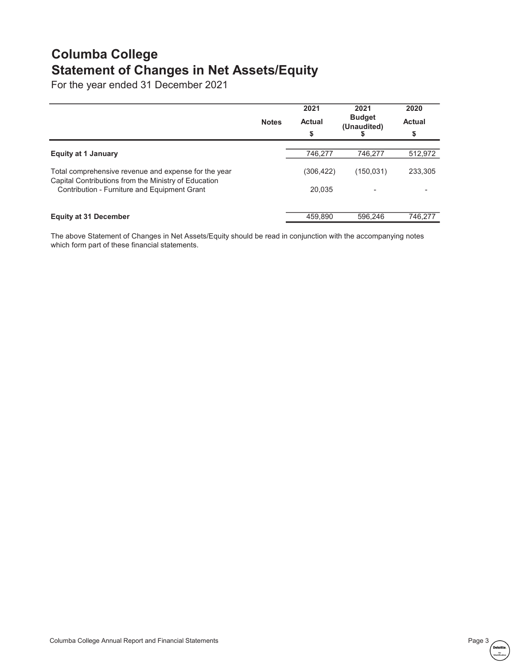# Columba College Statement of Changes in Net Assets/Equity

For the year ended 31 December 2021

|                                                                                                              | <b>Notes</b> | 2021<br><b>Actual</b><br>\$ | 2021<br><b>Budget</b><br>(Unaudited) | 2020<br><b>Actual</b><br>\$ |
|--------------------------------------------------------------------------------------------------------------|--------------|-----------------------------|--------------------------------------|-----------------------------|
| <b>Equity at 1 January</b>                                                                                   |              | 746,277                     | 746.277                              | 512,972                     |
| Total comprehensive revenue and expense for the year<br>Capital Contributions from the Ministry of Education |              | (306, 422)                  | (150, 031)                           | 233,305                     |
| Contribution - Furniture and Equipment Grant                                                                 |              | 20.035                      |                                      |                             |
| <b>Equity at 31 December</b>                                                                                 |              | 459,890                     | 596.246                              | 746,277                     |

The above Statement of Changes in Net Assets/Equity should be read in conjunction with the accompanying notes which form part of these financial statements.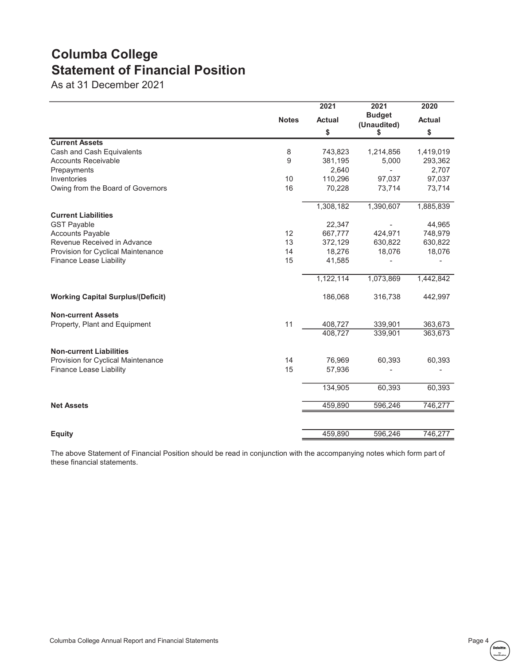# Columba College Statement of Financial Position

As at 31 December 2021

|                                          |                               | 2021          | 2021              | 2020      |
|------------------------------------------|-------------------------------|---------------|-------------------|-----------|
|                                          | <b>Notes</b><br><b>Actual</b> | <b>Budget</b> | <b>Actual</b>     |           |
|                                          |                               | \$            | (Unaudited)<br>\$ | \$        |
| <b>Current Assets</b>                    |                               |               |                   |           |
| Cash and Cash Equivalents                | 8                             | 743,823       | 1,214,856         | 1,419,019 |
| <b>Accounts Receivable</b>               | 9                             | 381,195       | 5,000             | 293,362   |
| Prepayments                              |                               | 2,640         |                   | 2,707     |
| Inventories                              | 10                            | 110,296       | 97,037            | 97,037    |
| Owing from the Board of Governors        | 16                            | 70,228        | 73,714            | 73,714    |
|                                          |                               | 1,308,182     | 1,390,607         | 1,885,839 |
| <b>Current Liabilities</b>               |                               |               |                   |           |
| <b>GST Payable</b>                       |                               | 22,347        |                   | 44,965    |
| <b>Accounts Payable</b>                  | 12                            | 667,777       | 424,971           | 748,979   |
| Revenue Received in Advance              | 13                            | 372,129       | 630,822           | 630,822   |
| Provision for Cyclical Maintenance       | 14                            | 18,276        | 18,076            | 18,076    |
| <b>Finance Lease Liability</b>           | 15                            | 41,585        |                   |           |
|                                          |                               | 1,122,114     | 1,073,869         | 1,442,842 |
| <b>Working Capital Surplus/(Deficit)</b> |                               | 186,068       | 316,738           | 442,997   |
| <b>Non-current Assets</b>                |                               |               |                   |           |
| Property, Plant and Equipment            | 11                            | 408,727       | 339,901           | 363,673   |
|                                          |                               | 408,727       | 339,901           | 363,673   |
| <b>Non-current Liabilities</b>           |                               |               |                   |           |
| Provision for Cyclical Maintenance       | 14                            | 76,969        | 60,393            | 60,393    |
| <b>Finance Lease Liability</b>           | 15                            | 57,936        |                   |           |
|                                          |                               | 134,905       | 60,393            | 60,393    |
| <b>Net Assets</b>                        |                               | 459,890       | 596,246           | 746,277   |
|                                          |                               |               |                   |           |
| <b>Equity</b>                            |                               | 459,890       | 596,246           | 746,277   |

The above Statement of Financial Position should be read in conjunction with the accompanying notes which form part of these financial statements.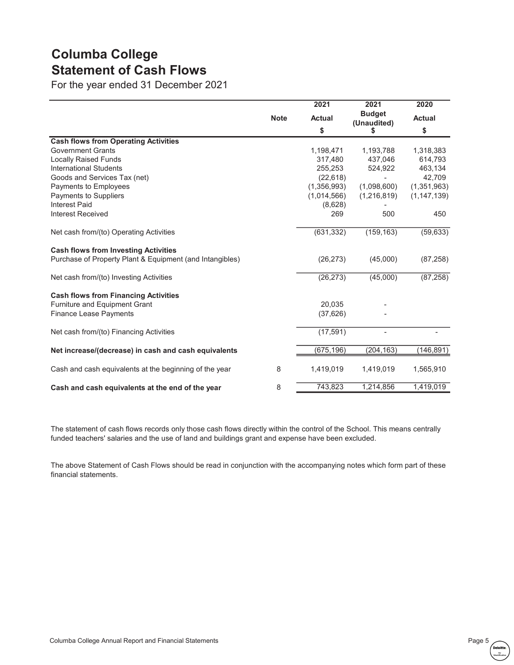# Columba College Statement of Cash Flows

For the year ended 31 December 2021

|                                                          |             | 2021          | 2021        | 2020                         |               |
|----------------------------------------------------------|-------------|---------------|-------------|------------------------------|---------------|
|                                                          | <b>Note</b> | <b>Actual</b> |             | <b>Budget</b><br>(Unaudited) | <b>Actual</b> |
|                                                          |             | \$            | \$          | \$                           |               |
| <b>Cash flows from Operating Activities</b>              |             |               |             |                              |               |
| <b>Government Grants</b>                                 |             | 1,198,471     | 1,193,788   | 1,318,383                    |               |
| <b>Locally Raised Funds</b>                              |             | 317,480       | 437.046     | 614,793                      |               |
| <b>International Students</b>                            |             | 255,253       | 524,922     | 463,134                      |               |
| Goods and Services Tax (net)                             |             | (22, 618)     |             | 42,709                       |               |
| Payments to Employees                                    |             | (1,356,993)   | (1,098,600) | (1,351,963)                  |               |
| Payments to Suppliers                                    |             | (1,014,566)   | (1,216,819) | (1, 147, 139)                |               |
| <b>Interest Paid</b>                                     |             | (8,628)       |             |                              |               |
| <b>Interest Received</b>                                 |             | 269           | 500         | 450                          |               |
| Net cash from/(to) Operating Activities                  |             | (631, 332)    | (159, 163)  | (59, 633)                    |               |
| <b>Cash flows from Investing Activities</b>              |             |               |             |                              |               |
| Purchase of Property Plant & Equipment (and Intangibles) |             | (26, 273)     | (45,000)    | (87, 258)                    |               |
| Net cash from/(to) Investing Activities                  |             | (26, 273)     | (45,000)    | (87, 258)                    |               |
| <b>Cash flows from Financing Activities</b>              |             |               |             |                              |               |
| Furniture and Equipment Grant                            |             | 20,035        |             |                              |               |
| <b>Finance Lease Payments</b>                            |             | (37, 626)     |             |                              |               |
| Net cash from/(to) Financing Activities                  |             | (17, 591)     |             |                              |               |
| Net increase/(decrease) in cash and cash equivalents     |             | (675, 196)    | (204, 163)  | (146, 891)                   |               |
| Cash and cash equivalents at the beginning of the year   | 8           | 1,419,019     | 1,419,019   | 1,565,910                    |               |
| Cash and cash equivalents at the end of the year         | 8           | 743,823       | 1,214,856   | 1,419,019                    |               |
|                                                          |             |               |             |                              |               |

The statement of cash flows records only those cash flows directly within the control of the School. This means centrally funded teachers' salaries and the use of land and buildings grant and expense have been excluded.

The above Statement of Cash Flows should be read in conjunction with the accompanying notes which form part of these financial statements.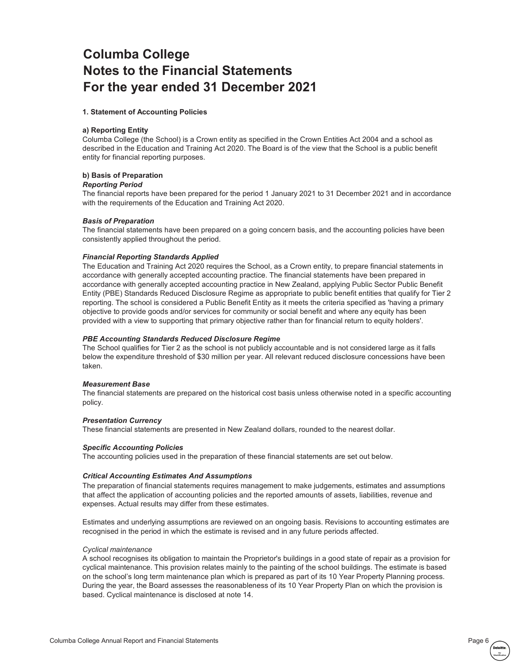# Columba College Notes to the Financial Statements For the year ended 31 December 2021

# 1. Statement of Accounting Policies

# a) Reporting Entity

Columba College (the School) is a Crown entity as specified in the Crown Entities Act 2004 and a school as described in the Education and Training Act 2020. The Board is of the view that the School is a public benefit entity for financial reporting purposes.

# b) Basis of Preparation

# *Reporting Period*

The financial reports have been prepared for the period 1 January 2021 to 31 December 2021 and in accordance with the requirements of the Education and Training Act 2020.

# *Basis of Preparation*

The financial statements have been prepared on a going concern basis, and the accounting policies have been consistently applied throughout the period.

# *Financial Reporting Standards Applied*

The Education and Training Act 2020 requires the School, as a Crown entity, to prepare financial statements in accordance with generally accepted accounting practice. The financial statements have been prepared in accordance with generally accepted accounting practice in New Zealand, applying Public Sector Public Benefit Entity (PBE) Standards Reduced Disclosure Regime as appropriate to public benefit entities that qualify for Tier 2 reporting. The school is considered a Public Benefit Entity as it meets the criteria specified as 'having a primary objective to provide goods and/or services for community or social benefit and where any equity has been provided with a view to supporting that primary objective rather than for financial return to equity holders'.

# *PBE Accounting Standards Reduced Disclosure Regime*

The School qualifies for Tier 2 as the school is not publicly accountable and is not considered large as it falls below the expenditure threshold of \$30 million per year. All relevant reduced disclosure concessions have been taken.

### *Measurement Base*

The financial statements are prepared on the historical cost basis unless otherwise noted in a specific accounting policy.

### *Presentation Currency*

These financial statements are presented in New Zealand dollars, rounded to the nearest dollar.

### *Specific Accounting Policies*

The accounting policies used in the preparation of these financial statements are set out below.

# *Critical Accounting Estimates And Assumptions*

The preparation of financial statements requires management to make judgements, estimates and assumptions that affect the application of accounting policies and the reported amounts of assets, liabilities, revenue and expenses. Actual results may differ from these estimates.

Estimates and underlying assumptions are reviewed on an ongoing basis. Revisions to accounting estimates are recognised in the period in which the estimate is revised and in any future periods affected.

### *Cyclical maintenance*

A school recognises its obligation to maintain the Proprietor's buildings in a good state of repair as a provision for cyclical maintenance. This provision relates mainly to the painting of the school buildings. The estimate is based on the school's long term maintenance plan which is prepared as part of its 10 Year Property Planning process. During the year, the Board assesses the reasonableness of its 10 Year Property Plan on which the provision is based. Cyclical maintenance is disclosed at note 14.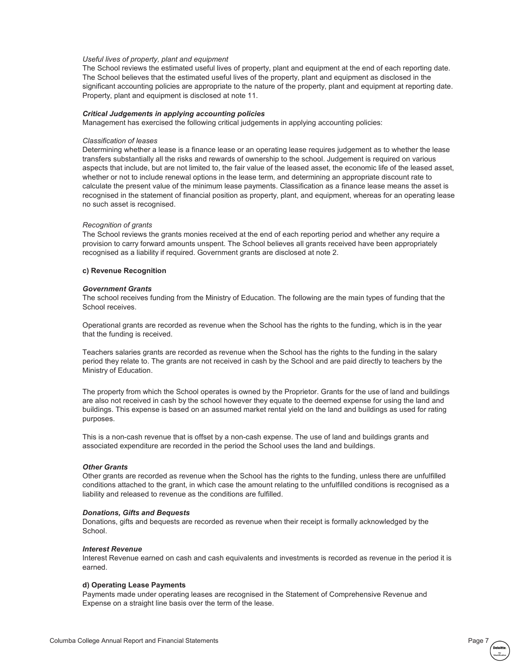### *Useful lives of property, plant and equipment*

The School reviews the estimated useful lives of property, plant and equipment at the end of each reporting date. The School believes that the estimated useful lives of the property, plant and equipment as disclosed in the significant accounting policies are appropriate to the nature of the property, plant and equipment at reporting date. Property, plant and equipment is disclosed at note 11.

#### *Critical Judgements in applying accounting policies*

Management has exercised the following critical judgements in applying accounting policies:

#### *Classification of leases*

Determining whether a lease is a finance lease or an operating lease requires judgement as to whether the lease transfers substantially all the risks and rewards of ownership to the school. Judgement is required on various aspects that include, but are not limited to, the fair value of the leased asset, the economic life of the leased asset, whether or not to include renewal options in the lease term, and determining an appropriate discount rate to calculate the present value of the minimum lease payments. Classification as a finance lease means the asset is recognised in the statement of financial position as property, plant, and equipment, whereas for an operating lease no such asset is recognised.

#### *Recognition of grants*

The School reviews the grants monies received at the end of each reporting period and whether any require a provision to carry forward amounts unspent. The School believes all grants received have been appropriately recognised as a liability if required. Government grants are disclosed at note 2.

#### c) Revenue Recognition

#### *Government Grants*

The school receives funding from the Ministry of Education. The following are the main types of funding that the School receives.

Operational grants are recorded as revenue when the School has the rights to the funding, which is in the year that the funding is received.

Teachers salaries grants are recorded as revenue when the School has the rights to the funding in the salary period they relate to. The grants are not received in cash by the School and are paid directly to teachers by the Ministry of Education.

The property from which the School operates is owned by the Proprietor. Grants for the use of land and buildings are also not received in cash by the school however they equate to the deemed expense for using the land and buildings. This expense is based on an assumed market rental yield on the land and buildings as used for rating purposes.

This is a non-cash revenue that is offset by a non-cash expense. The use of land and buildings grants and associated expenditure are recorded in the period the School uses the land and buildings.

# *Other Grants*

Other grants are recorded as revenue when the School has the rights to the funding, unless there are unfulfilled conditions attached to the grant, in which case the amount relating to the unfulfilled conditions is recognised as a liability and released to revenue as the conditions are fulfilled.

# *Donations, Gifts and Bequests*

Donations, gifts and bequests are recorded as revenue when their receipt is formally acknowledged by the School.

#### *Interest Revenue*

Interest Revenue earned on cash and cash equivalents and investments is recorded as revenue in the period it is earned.

#### d) Operating Lease Payments

Payments made under operating leases are recognised in the Statement of Comprehensive Revenue and Expense on a straight line basis over the term of the lease.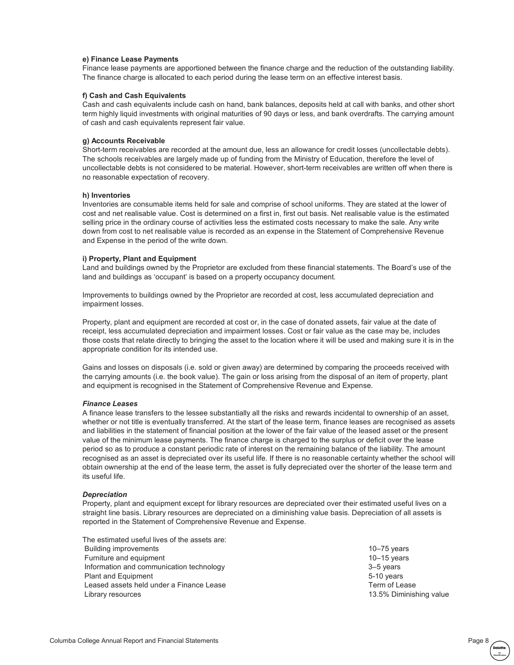# e) Finance Lease Payments

Finance lease payments are apportioned between the finance charge and the reduction of the outstanding liability. The finance charge is allocated to each period during the lease term on an effective interest basis.

# f) Cash and Cash Equivalents

Cash and cash equivalents include cash on hand, bank balances, deposits held at call with banks, and other short term highly liquid investments with original maturities of 90 days or less, and bank overdrafts. The carrying amount of cash and cash equivalents represent fair value.

# g) Accounts Receivable

Short-term receivables are recorded at the amount due, less an allowance for credit losses (uncollectable debts). The schools receivables are largely made up of funding from the Ministry of Education, therefore the level of uncollectable debts is not considered to be material. However, short-term receivables are written off when there is no reasonable expectation of recovery.

### h) Inventories

Inventories are consumable items held for sale and comprise of school uniforms. They are stated at the lower of cost and net realisable value. Cost is determined on a first in, first out basis. Net realisable value is the estimated selling price in the ordinary course of activities less the estimated costs necessary to make the sale. Any write down from cost to net realisable value is recorded as an expense in the Statement of Comprehensive Revenue and Expense in the period of the write down.

### i) Property, Plant and Equipment

Land and buildings owned by the Proprietor are excluded from these financial statements. The Board's use of the land and buildings as 'occupant' is based on a property occupancy document.

Improvements to buildings owned by the Proprietor are recorded at cost, less accumulated depreciation and impairment losses.

Property, plant and equipment are recorded at cost or, in the case of donated assets, fair value at the date of receipt, less accumulated depreciation and impairment losses. Cost or fair value as the case may be, includes those costs that relate directly to bringing the asset to the location where it will be used and making sure it is in the appropriate condition for its intended use.

Gains and losses on disposals (i.e. sold or given away) are determined by comparing the proceeds received with the carrying amounts (i.e. the book value). The gain or loss arising from the disposal of an item of property, plant and equipment is recognised in the Statement of Comprehensive Revenue and Expense.

### *Finance Leases*

A finance lease transfers to the lessee substantially all the risks and rewards incidental to ownership of an asset, whether or not title is eventually transferred. At the start of the lease term, finance leases are recognised as assets and liabilities in the statement of financial position at the lower of the fair value of the leased asset or the present value of the minimum lease payments. The finance charge is charged to the surplus or deficit over the lease period so as to produce a constant periodic rate of interest on the remaining balance of the liability. The amount recognised as an asset is depreciated over its useful life. If there is no reasonable certainty whether the school will obtain ownership at the end of the lease term, the asset is fully depreciated over the shorter of the lease term and its useful life.

### *Depreciation*

Property, plant and equipment except for library resources are depreciated over their estimated useful lives on a straight line basis. Library resources are depreciated on a diminishing value basis. Depreciation of all assets is reported in the Statement of Comprehensive Revenue and Expense.

The estimated useful lives of the assets are: Building improvements **10–75** years 10–75 years **10–75** years **10–75** years **10–75** Furniture and equipment 10–15 years 10–15 years Information and communication technology 3–5 years Plant and Equipment **Figure 1.1** and Equipment **5-10** years Leased assets held under a Finance Lease Term of Lease Term of Lease Library resources 13.5% Diminishing value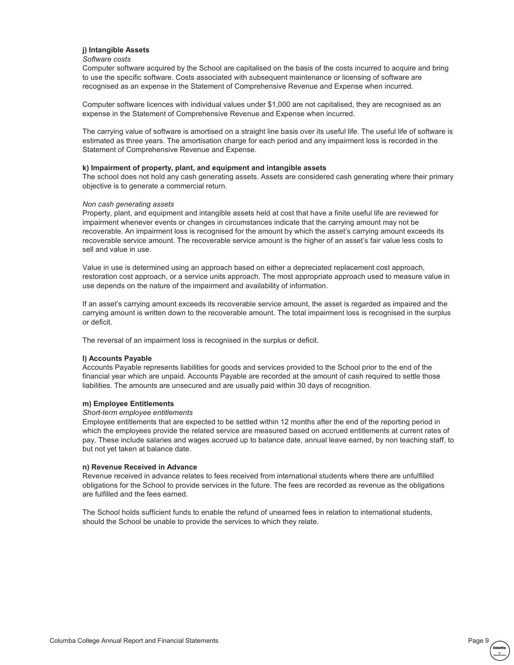## j) Intangible Assets

#### *Software costs*

Computer software acquired by the School are capitalised on the basis of the costs incurred to acquire and bring to use the specific software. Costs associated with subsequent maintenance or licensing of software are recognised as an expense in the Statement of Comprehensive Revenue and Expense when incurred.

Computer software licences with individual values under \$1,000 are not capitalised, they are recognised as an expense in the Statement of Comprehensive Revenue and Expense when incurred.

The carrying value of software is amortised on a straight line basis over its useful life. The useful life of software is estimated as three years. The amortisation charge for each period and any impairment loss is recorded in the Statement of Comprehensive Revenue and Expense.

# k) Impairment of property, plant, and equipment and intangible assets

The school does not hold any cash generating assets. Assets are considered cash generating where their primary objective is to generate a commercial return.

# *Non cash generating assets*

Property, plant, and equipment and intangible assets held at cost that have a finite useful life are reviewed for impairment whenever events or changes in circumstances indicate that the carrying amount may not be recoverable. An impairment loss is recognised for the amount by which the asset's carrying amount exceeds its recoverable service amount. The recoverable service amount is the higher of an asset's fair value less costs to sell and value in use.

Value in use is determined using an approach based on either a depreciated replacement cost approach, restoration cost approach, or a service units approach. The most appropriate approach used to measure value in use depends on the nature of the impairment and availability of information.

If an asset's carrying amount exceeds its recoverable service amount, the asset is regarded as impaired and the carrying amount is written down to the recoverable amount. The total impairment loss is recognised in the surplus or deficit.

The reversal of an impairment loss is recognised in the surplus or deficit.

# l) Accounts Payable

Accounts Payable represents liabilities for goods and services provided to the School prior to the end of the financial year which are unpaid. Accounts Payable are recorded at the amount of cash required to settle those liabilities. The amounts are unsecured and are usually paid within 30 days of recognition.

### m) Employee Entitlements

### *Short-term employee entitlements*

Employee entitlements that are expected to be settled within 12 months after the end of the reporting period in which the employees provide the related service are measured based on accrued entitlements at current rates of pay. These include salaries and wages accrued up to balance date, annual leave earned, by non teaching staff, to but not yet taken at balance date.

### n) Revenue Received in Advance

Revenue received in advance relates to fees received from international students where there are unfulfilled obligations for the School to provide services in the future. The fees are recorded as revenue as the obligations are fulfilled and the fees earned.

The School holds sufficient funds to enable the refund of unearned fees in relation to international students, should the School be unable to provide the services to which they relate.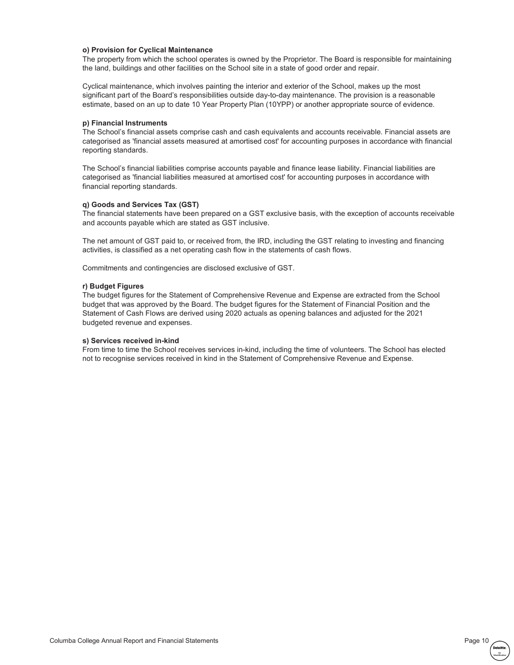## o) Provision for Cyclical Maintenance

The property from which the school operates is owned by the Proprietor. The Board is responsible for maintaining the land, buildings and other facilities on the School site in a state of good order and repair.

Cyclical maintenance, which involves painting the interior and exterior of the School, makes up the most significant part of the Board's responsibilities outside day-to-day maintenance. The provision is a reasonable estimate, based on an up to date 10 Year Property Plan (10YPP) or another appropriate source of evidence.

# p) Financial Instruments

The School's financial assets comprise cash and cash equivalents and accounts receivable. Financial assets are categorised as 'financial assets measured at amortised cost' for accounting purposes in accordance with financial reporting standards.

The School's financial liabilities comprise accounts payable and finance lease liability. Financial liabilities are categorised as 'financial liabilities measured at amortised cost' for accounting purposes in accordance with financial reporting standards.

# q) Goods and Services Tax (GST)

The financial statements have been prepared on a GST exclusive basis, with the exception of accounts receivable and accounts payable which are stated as GST inclusive.

The net amount of GST paid to, or received from, the IRD, including the GST relating to investing and financing activities, is classified as a net operating cash flow in the statements of cash flows.

Commitments and contingencies are disclosed exclusive of GST.

### r) Budget Figures

The budget figures for the Statement of Comprehensive Revenue and Expense are extracted from the School budget that was approved by the Board. The budget figures for the Statement of Financial Position and the Statement of Cash Flows are derived using 2020 actuals as opening balances and adjusted for the 2021 budgeted revenue and expenses.

### s) Services received in-kind

From time to time the School receives services in-kind, including the time of volunteers. The School has elected not to recognise services received in kind in the Statement of Comprehensive Revenue and Expense.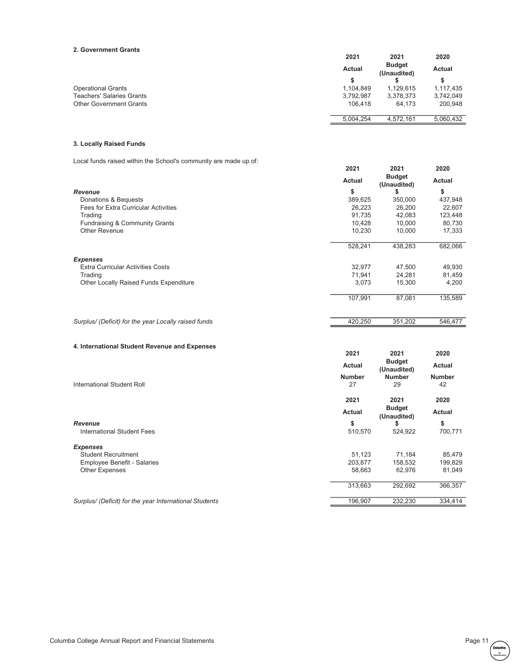#### 2. Government Grants

|                                  | 2021      | 2021                         | 2020          |
|----------------------------------|-----------|------------------------------|---------------|
|                                  | Actual    | <b>Budget</b><br>(Unaudited) | <b>Actual</b> |
|                                  |           |                              |               |
| <b>Operational Grants</b>        | 1.104.849 | 1.129.615                    | 1,117,435     |
| <b>Teachers' Salaries Grants</b> | 3,792,987 | 3,378,373                    | 3.742.049     |
| <b>Other Government Grants</b>   | 106.418   | 64.173                       | 200,948       |
|                                  | 5.004.254 | 4.572.161                    | 5.060.432     |

### 3. Locally Raised Funds

Local funds raised within the School's community are made up of:

|                                             | 2021          | 2021                         | 2020    |
|---------------------------------------------|---------------|------------------------------|---------|
|                                             | <b>Actual</b> | <b>Budget</b><br>(Unaudited) | Actual  |
| Revenue                                     | \$            | \$                           | \$      |
| Donations & Bequests                        | 389,625       | 350,000                      | 437,948 |
| <b>Fees for Extra Curricular Activities</b> | 26,223        | 26,200                       | 22,607  |
| Trading                                     | 91,735        | 42,083                       | 123,448 |
| Fundraising & Community Grants              | 10,428        | 10,000                       | 80,730  |
| <b>Other Revenue</b>                        | 10,230        | 10,000                       | 17,333  |
|                                             | 528,241       | 438,283                      | 682,066 |
| <b>Expenses</b>                             |               |                              |         |
| <b>Extra Curricular Activities Costs</b>    | 32,977        | 47,500                       | 49,930  |
| Trading                                     | 71,941        | 24,281                       | 81,459  |
| Other Locally Raised Funds Expenditure      | 3,073         | 15,300                       | 4,200   |
|                                             | 107,991       | 87,081                       | 135,589 |
|                                             |               |                              |         |

# *Surplus/ (Deficit) for the year Locally raised funds* 420,250 351,202 546,477

2021 2021 2020

### 4. International Student Revenue and Expenses

| International Student Roll                             | <b>Actual</b><br><b>Number</b><br>27 | <b>Budget</b><br>(Unaudited)<br><b>Number</b><br>29 | <b>Actual</b><br><b>Number</b><br>42 |
|--------------------------------------------------------|--------------------------------------|-----------------------------------------------------|--------------------------------------|
|                                                        | 2021                                 | 2021                                                | 2020                                 |
|                                                        | <b>Actual</b>                        | <b>Budget</b><br>(Unaudited)                        | <b>Actual</b>                        |
| <b>Revenue</b>                                         | \$                                   | \$                                                  | \$                                   |
| International Student Fees                             | 510,570                              | 524,922                                             | 700,771                              |
| <b>Expenses</b>                                        |                                      |                                                     |                                      |
| <b>Student Recruitment</b>                             | 51,123                               | 71,184                                              | 85,479                               |
| <b>Employee Benefit - Salaries</b>                     | 203,877                              | 158,532                                             | 199,829                              |
| <b>Other Expenses</b>                                  | 58,663                               | 62,976                                              | 81,049                               |
|                                                        | 313,663                              | 292,692                                             | 366,357                              |
| Surplus/ (Deficit) for the year International Students | 196,907                              | 232,230                                             | 334,414                              |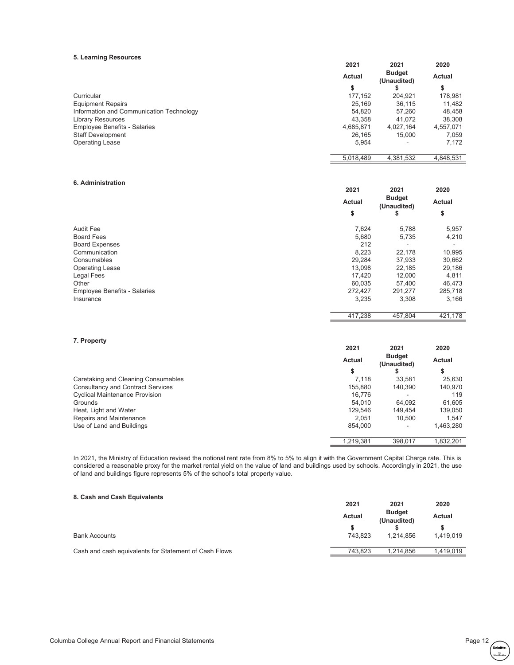#### 5. Learning Resources

|                                          | 2021          | 2021                         | 2020          |
|------------------------------------------|---------------|------------------------------|---------------|
|                                          | Actual        | <b>Budget</b><br>(Unaudited) | <b>Actual</b> |
|                                          | \$            | \$                           | \$            |
| Curricular                               | 177,152       | 204,921                      | 178,981       |
| <b>Equipment Repairs</b>                 | 25,169        | 36,115                       | 11,482        |
| Information and Communication Technology | 54,820        | 57,260                       | 48,458        |
| <b>Library Resources</b>                 | 43,358        | 41,072                       | 38,308        |
| <b>Employee Benefits - Salaries</b>      | 4,685,871     | 4,027,164                    | 4,557,071     |
| <b>Staff Development</b>                 | 26,165        | 15,000                       | 7,059         |
| <b>Operating Lease</b>                   | 5,954         |                              | 7,172         |
|                                          | 5,018,489     | 4,381,532                    | 4,848,531     |
| 6. Administration                        |               |                              |               |
|                                          | 2021          | 2021                         | 2020          |
|                                          | <b>Actual</b> | <b>Budget</b><br>(Unaudited) | Actual        |
|                                          | \$            | \$                           | \$            |
| <b>Audit Fee</b>                         | 7,624         | 5,788                        | 5,957         |
| <b>Board Fees</b>                        | 5,680         | 5,735                        | 4,210         |
| <b>Board Expenses</b>                    | 212           |                              |               |
| Communication                            | 8,223         | 22,178                       | 10,995        |
| Consumables                              | 29,284        | 37,933                       | 30,662        |
| <b>Operating Lease</b>                   | 13.098        | 22,185                       | 29,186        |
| <b>Legal Fees</b>                        | 17,420        | 12,000                       | 4,811         |
| Other                                    | 60,035        | 57,400                       | 46,473        |
| <b>Employee Benefits - Salaries</b>      | 272,427       | 291,277                      | 285,718       |
| Insurance                                | 3,235         | 3,308                        | 3,166         |
|                                          |               |                              |               |

## 7. Property

|                                          | 2021          | 2021<br><b>Budget</b><br>(Unaudited) | 2020<br>Actual |
|------------------------------------------|---------------|--------------------------------------|----------------|
|                                          | <b>Actual</b> |                                      |                |
|                                          | \$            |                                      | \$             |
| Caretaking and Cleaning Consumables      | 7.118         | 33.581                               | 25,630         |
| <b>Consultancy and Contract Services</b> | 155.880       | 140.390                              | 140,970        |
| <b>Cyclical Maintenance Provision</b>    | 16.776        |                                      | 119            |
| Grounds                                  | 54.010        | 64.092                               | 61.605         |
| Heat, Light and Water                    | 129.546       | 149.454                              | 139,050        |
| Repairs and Maintenance                  | 2.051         | 10.500                               | 1.547          |
| Use of Land and Buildings                | 854,000       |                                      | 1,463,280      |
|                                          | 1,219,381     | 398.017                              | 1.832.201      |

In 2021, the Ministry of Education revised the notional rent rate from 8% to 5% to align it with the Government Capital Charge rate. This is considered a reasonable proxy for the market rental yield on the value of land and buildings used by schools. Accordingly in 2021, the use of land and buildings figure represents 5% of the school's total property value.

# 8. Cash and Cash Equivalents

|                                                       | 2021<br>Actual | 2021<br><b>Budget</b><br>(Unaudited) | 2020<br>Actual |
|-------------------------------------------------------|----------------|--------------------------------------|----------------|
|                                                       |                |                                      |                |
|                                                       |                |                                      |                |
| <b>Bank Accounts</b>                                  | 743.823        | 1.214.856                            | 1.419.019      |
| Cash and cash equivalents for Statement of Cash Flows | 743.823        | 1.214.856                            | 1.419.019      |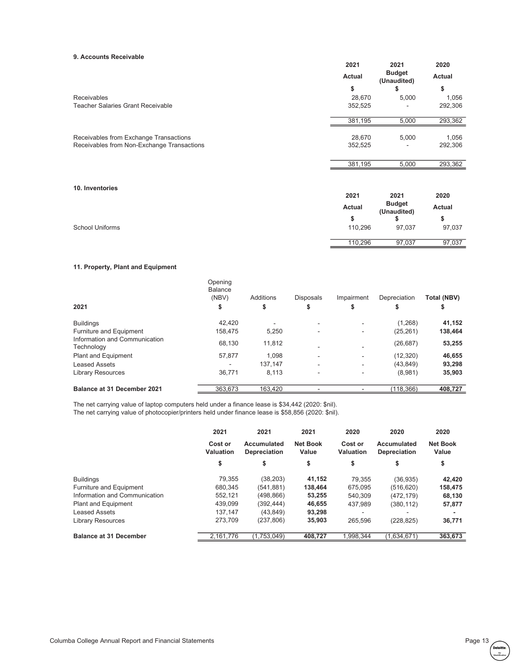#### 9. Accounts Receivable

| , Auuumnu Ruuuraanu                                            | 2021              | 2021                         | 2020             |
|----------------------------------------------------------------|-------------------|------------------------------|------------------|
|                                                                | <b>Actual</b>     | <b>Budget</b><br>(Unaudited) | <b>Actual</b>    |
|                                                                | \$                | \$                           | \$               |
| <b>Receivables</b><br><b>Teacher Salaries Grant Receivable</b> | 28.670<br>352,525 | 5,000                        | 1.056<br>292,306 |
|                                                                |                   |                              |                  |
|                                                                | 381.195           | 5,000                        | 293,362          |
| Receivables from Exchange Transactions                         | 28.670            | 5,000                        | 1.056            |
| Receivables from Non-Exchange Transactions                     | 352,525           |                              | 292,306          |
|                                                                | 381.195           | 5.000                        | 293,362          |

#### 10. Inventories

|                 | 2021    | 2021                         | 2020   |
|-----------------|---------|------------------------------|--------|
|                 | Actual  | <b>Budget</b><br>(Unaudited) | Actual |
|                 |         |                              | S      |
| School Uniforms | 110,296 | 97.037                       | 97,037 |
|                 | 110,296 | 97,037                       | 97,037 |

# 11. Property, Plant and Equipment

| 2021                                        | Opening<br><b>Balance</b><br>(NBV)<br>\$ | Additions<br>\$ | <b>Disposals</b><br>\$ | Impairment | Depreciation<br>\$ | Total (NBV)<br>\$ |
|---------------------------------------------|------------------------------------------|-----------------|------------------------|------------|--------------------|-------------------|
| <b>Buildings</b>                            | 42.420                                   |                 |                        |            | (1,268)            | 41,152            |
| Furniture and Equipment                     | 158,475                                  | 5,250           |                        |            | (25, 261)          | 138,464           |
| Information and Communication<br>Technology | 68.130                                   | 11,812          |                        |            | (26, 687)          | 53,255            |
| Plant and Equipment                         | 57.877                                   | 1.098           |                        |            | (12, 320)          | 46,655            |
| <b>Leased Assets</b>                        |                                          | 137.147         |                        |            | (43, 849)          | 93,298            |
| <b>Library Resources</b>                    | 36.771                                   | 8.113           |                        |            | (8,981)            | 35,903            |
| Balance at 31 December 2021                 | 363,673                                  | 163,420         |                        |            | (118,366)          | 408,727           |
|                                             |                                          |                 |                        |            |                    |                   |

The net carrying value of laptop computers held under a finance lease is \$34,442 (2020: \$nil). The net carrying value of photocopier/printers held under finance lease is \$58,856 (2020: \$nil).

|                               | 2021                 | 2021                        | 2021                     | 2020                 | 2020                        | 2020                     |
|-------------------------------|----------------------|-----------------------------|--------------------------|----------------------|-----------------------------|--------------------------|
|                               | Cost or<br>Valuation | Accumulated<br>Depreciation | <b>Net Book</b><br>Value | Cost or<br>Valuation | Accumulated<br>Depreciation | <b>Net Book</b><br>Value |
|                               | \$                   | \$                          | \$                       | \$                   | \$                          | \$                       |
| <b>Buildings</b>              | 79,355               | (38, 203)                   | 41.152                   | 79.355               | (36, 935)                   | 42,420                   |
| Furniture and Equipment       | 680.345              | (541.881)                   | 138.464                  | 675.095              | (516, 620)                  | 158,475                  |
| Information and Communication | 552.121              | (498, 866)                  | 53,255                   | 540.309              | (472, 179)                  | 68,130                   |
| <b>Plant and Equipment</b>    | 439,099              | (392,444)                   | 46,655                   | 437.989              | (380, 112)                  | 57,877                   |
| <b>Leased Assets</b>          | 137.147              | (43, 849)                   | 93,298                   |                      |                             |                          |
| <b>Library Resources</b>      | 273.709              | (237, 806)                  | 35.903                   | 265.596              | (228, 825)                  | 36,771                   |
| <b>Balance at 31 December</b> | 2,161,776            | (1.753.049)                 | 408,727                  | .998.344             | (1,634,671)                 | 363,673                  |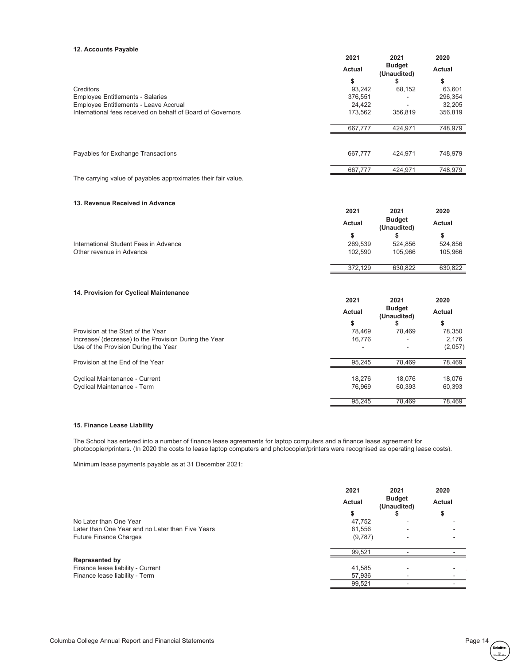#### 12. Accounts Payable

|                                                             | 2021          | 2021                         | 2020          |
|-------------------------------------------------------------|---------------|------------------------------|---------------|
|                                                             | <b>Actual</b> | <b>Budget</b><br>(Unaudited) | <b>Actual</b> |
|                                                             | \$            | \$                           | \$            |
| Creditors                                                   | 93.242        | 68.152                       | 63,601        |
| <b>Employee Entitlements - Salaries</b>                     | 376.551       |                              | 296,354       |
| Employee Entitlements - Leave Accrual                       | 24,422        |                              | 32,205        |
| International fees received on behalf of Board of Governors | 173.562       | 356.819                      | 356,819       |
|                                                             | 667.777       | 424.971                      | 748,979       |
|                                                             |               |                              |               |
| Payables for Exchange Transactions                          | 667.777       | 424.971                      | 748.979       |
|                                                             | 667.777       | 424.971                      | 748.979       |

The carrying value of payables approximates their fair value.

#### 13. Revenue Received in Advance

|                                       | 2021          | 2021<br><b>Budget</b><br>(Unaudited) | 2020    |
|---------------------------------------|---------------|--------------------------------------|---------|
|                                       | <b>Actual</b> |                                      | Actual  |
|                                       |               |                                      |         |
| International Student Fees in Advance | 269.539       | 524.856                              | 524,856 |
| Other revenue in Advance              | 102.590       | 105.966                              | 105,966 |
|                                       | 372.129       | 630.822                              | 630.822 |

#### 14. Provision for Cyclical Maintenance

|                                                       | 2021<br><b>Actual</b> | 2021<br><b>Budget</b><br>(Unaudited) | 2020          |
|-------------------------------------------------------|-----------------------|--------------------------------------|---------------|
|                                                       |                       |                                      | <b>Actual</b> |
|                                                       |                       | S                                    | \$            |
| Provision at the Start of the Year                    | 78,469                | 78.469                               | 78,350        |
| Increase/ (decrease) to the Provision During the Year | 16.776                |                                      | 2,176         |
| Use of the Provision During the Year                  |                       |                                      | (2,057)       |
| Provision at the End of the Year                      | 95.245                | 78.469                               | 78,469        |
| <b>Cyclical Maintenance - Current</b>                 | 18.276                | 18.076                               | 18,076        |
| Cyclical Maintenance - Term                           | 76.969                | 60.393                               | 60,393        |
|                                                       | 95,245                | 78.469                               | 78.469        |

# 15. Finance Lease Liability

The School has entered into a number of finance lease agreements for laptop computers and a finance lease agreement for photocopier/printers. (In 2020 the costs to lease laptop computers and photocopier/printers were recognised as operating lease costs).

Minimum lease payments payable as at 31 December 2021:

|                                                  | 2021          | 2021                         | 2020          |
|--------------------------------------------------|---------------|------------------------------|---------------|
|                                                  | <b>Actual</b> | <b>Budget</b><br>(Unaudited) | <b>Actual</b> |
|                                                  |               | ъ                            | \$            |
| No Later than One Year                           | 47,752        |                              |               |
| Later than One Year and no Later than Five Years | 61,556        |                              |               |
| <b>Future Finance Charges</b>                    | (9,787)       |                              |               |
|                                                  | 99,521        |                              |               |
| <b>Represented by</b>                            |               |                              |               |
| Finance lease liability - Current                | 41,585        |                              |               |
| Finance lease liability - Term                   | 57,936        |                              |               |
|                                                  | 99,521        |                              |               |
|                                                  |               |                              |               |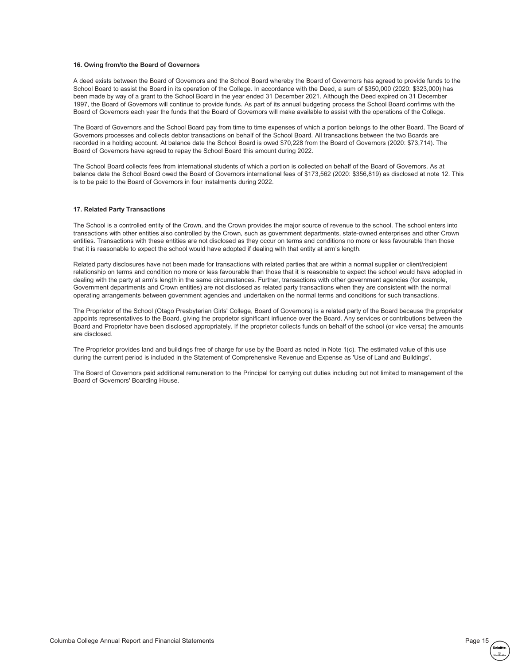#### 16. Owing from/to the Board of Governors

A deed exists between the Board of Governors and the School Board whereby the Board of Governors has agreed to provide funds to the School Board to assist the Board in its operation of the College. In accordance with the Deed, a sum of \$350,000 (2020: \$323,000) has been made by way of a grant to the School Board in the year ended 31 December 2021. Although the Deed expired on 31 December 1997, the Board of Governors will continue to provide funds. As part of its annual budgeting process the School Board confirms with the Board of Governors each year the funds that the Board of Governors will make available to assist with the operations of the College.

The Board of Governors and the School Board pay from time to time expenses of which a portion belongs to the other Board. The Board of Governors processes and collects debtor transactions on behalf of the School Board. All transactions between the two Boards are recorded in a holding account. At balance date the School Board is owed \$70,228 from the Board of Governors (2020: \$73,714). The Board of Governors have agreed to repay the School Board this amount during 2022.

The School Board collects fees from international students of which a portion is collected on behalf of the Board of Governors. As at balance date the School Board owed the Board of Governors international fees of \$173,562 (2020: \$356,819) as disclosed at note 12. This is to be paid to the Board of Governors in four instalments during 2022.

#### 17. Related Party Transactions

The School is a controlled entity of the Crown, and the Crown provides the major source of revenue to the school. The school enters into transactions with other entities also controlled by the Crown, such as government departments, state-owned enterprises and other Crown entities. Transactions with these entities are not disclosed as they occur on terms and conditions no more or less favourable than those that it is reasonable to expect the school would have adopted if dealing with that entity at arm's length.

Related party disclosures have not been made for transactions with related parties that are within a normal supplier or client/recipient relationship on terms and condition no more or less favourable than those that it is reasonable to expect the school would have adopted in dealing with the party at arm's length in the same circumstances. Further, transactions with other government agencies (for example, Government departments and Crown entities) are not disclosed as related party transactions when they are consistent with the normal operating arrangements between government agencies and undertaken on the normal terms and conditions for such transactions.

The Proprietor of the School (Otago Presbyterian Girls' College, Board of Governors) is a related party of the Board because the proprietor appoints representatives to the Board, giving the proprietor significant influence over the Board. Any services or contributions between the Board and Proprietor have been disclosed appropriately. If the proprietor collects funds on behalf of the school (or vice versa) the amounts are disclosed.

The Proprietor provides land and buildings free of charge for use by the Board as noted in Note 1(c). The estimated value of this use during the current period is included in the Statement of Comprehensive Revenue and Expense as 'Use of Land and Buildings'.

The Board of Governors paid additional remuneration to the Principal for carrying out duties including but not limited to management of the Board of Governors' Boarding House.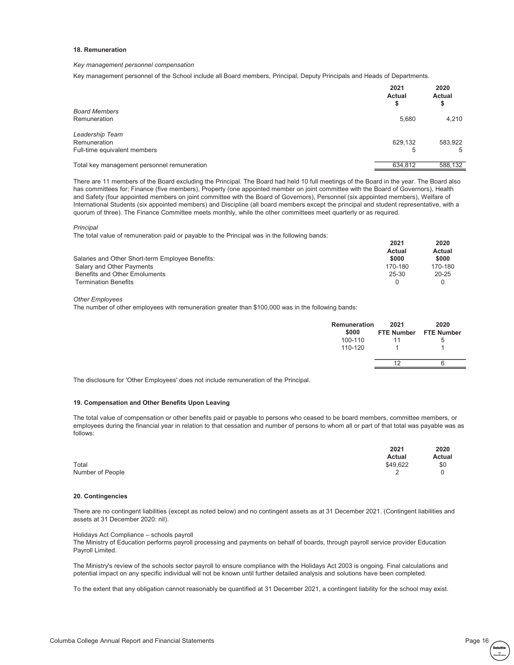#### 18. Remuneration

#### *Key management personnel compensation*

Key management personnel of the School include all Board members, Principal, Deputy Principals and Heads of Departments.

|                                             | 2021<br>Actual<br>\$ | 2020<br><b>Actual</b><br>\$ |
|---------------------------------------------|----------------------|-----------------------------|
| <b>Board Members</b>                        |                      |                             |
| Remuneration                                | 5,680                | 4,210                       |
| Leadership Team                             |                      |                             |
| Remuneration                                | 629.132              | 583,922                     |
| Full-time equivalent members                | 5                    | 5                           |
| Total key management personnel remuneration | 634,812              | 588,132                     |
|                                             |                      |                             |

There are 11 members of the Board excluding the Principal. The Board had held 10 full meetings of the Board in the year. The Board also has committees for; Finance (five members), Property (one appointed member on joint committee with the Board of Governors), Health and Safety (four appointed members on joint committee with the Board of Governors), Personnel (six appointed members), Welfare of International Students (six appointed members) and Discipline (all board members except the principal and student representative, with a quorum of three). The Finance Committee meets monthly, while the other committees meet quarterly or as required.

*Principal*

The total value of remuneration paid or payable to the Principal was in the following bands:

|                                                  | 2021    | 2020      |
|--------------------------------------------------|---------|-----------|
|                                                  | Actual  | Actual    |
| Salaries and Other Short-term Employee Benefits: | \$000   | \$000     |
| <b>Salary and Other Payments</b>                 | 170-180 | 170-180   |
| <b>Benefits and Other Emoluments</b>             | 25-30   | $20 - 25$ |
| <b>Termination Benefits</b>                      |         |           |

*Other Employees*

The number of other employees with remuneration greater than \$100,000 was in the following bands:

| Remuneration<br>\$000<br>100-110<br>110-120 | 2021<br>11 | 2020<br>FTE Number FTE Number<br>5 |
|---------------------------------------------|------------|------------------------------------|
|                                             | 12         | 6                                  |
|                                             |            |                                    |

The disclosure for 'Other Employees' does not include remuneration of the Principal.

#### 19. Compensation and Other Benefits Upon Leaving

The total value of compensation or other benefits paid or payable to persons who ceased to be board members, committee members, or employees during the financial year in relation to that cessation and number of persons to whom all or part of that total was payable was as follows:

|                  | 2021     | 2020   |
|------------------|----------|--------|
|                  | Actual   | Actual |
| Total            | \$49,622 | \$0    |
| Number of People |          |        |

#### 20. Contingencies

There are no contingent liabilities (except as noted below) and no contingent assets as at 31 December 2021. (Contingent liabilities and assets at 31 December 2020: nil).

Holidays Act Compliance – schools payroll

The Ministry of Education performs payroll processing and payments on behalf of boards, through payroll service provider Education Payroll Limited.

The Ministry's review of the schools sector payroll to ensure compliance with the Holidays Act 2003 is ongoing. Final calculations and potential impact on any specific individual will not be known until further detailed analysis and solutions have been completed.

To the extent that any obligation cannot reasonably be quantified at 31 December 2021, a contingent liability for the school may exist.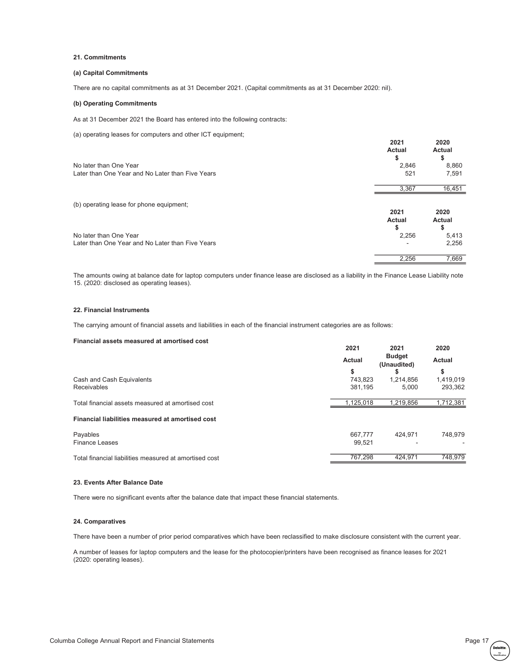#### 21. Commitments

#### (a) Capital Commitments

There are no capital commitments as at 31 December 2021. (Capital commitments as at 31 December 2020: nil).

#### (b) Operating Commitments

As at 31 December 2021 the Board has entered into the following contracts:

(a) operating leases for computers and other ICT equipment;

|                                                  | 2021<br><b>Actual</b><br>\$ | 2020<br><b>Actual</b><br>\$ |
|--------------------------------------------------|-----------------------------|-----------------------------|
| No later than One Year                           | 2.846                       | 8,860                       |
| Later than One Year and No Later than Five Years | 521                         | 7,591                       |
|                                                  | 3,367                       | 16,451                      |
| (b) operating lease for phone equipment;         |                             |                             |
|                                                  | 2021<br><b>Actual</b>       | 2020<br><b>Actual</b>       |
|                                                  | \$                          | \$                          |
| No later than One Year                           | 2,256                       | 5,413                       |
| Later than One Year and No Later than Five Years |                             | 2,256                       |
|                                                  | 2,256                       | 7,669                       |

The amounts owing at balance date for laptop computers under finance lease are disclosed as a liability in the Finance Lease Liability note 15. (2020: disclosed as operating leases).

#### 22. Financial Instruments

The carrying amount of financial assets and liabilities in each of the financial instrument categories are as follows:

#### Financial assets measured at amortised cost

| ו ווועווטועו עסטטנט וווטעסעווטע ענ עוווטו נוסטע טטסנ   | 2021<br><b>Actual</b> | 2021<br><b>Budget</b><br>(Unaudited) | 2020<br><b>Actual</b> |
|--------------------------------------------------------|-----------------------|--------------------------------------|-----------------------|
|                                                        |                       |                                      |                       |
|                                                        | \$                    | S                                    | \$                    |
| Cash and Cash Equivalents                              | 743.823               | 1,214,856                            | 1,419,019             |
| <b>Receivables</b>                                     | 381.195               | 5.000                                | 293,362               |
| Total financial assets measured at amortised cost      | 1,125,018             | 1,219,856                            | 1,712,381             |
| Financial liabilities measured at amortised cost       |                       |                                      |                       |
| Payables                                               | 667.777               | 424.971                              | 748,979               |
| <b>Finance Leases</b>                                  | 99.521                |                                      |                       |
| Total financial liabilities measured at amortised cost | 767.298               | 424,971                              | 748.979               |

#### 23. Events After Balance Date

There were no significant events after the balance date that impact these financial statements.

# 24. Comparatives

There have been a number of prior period comparatives which have been reclassified to make disclosure consistent with the current year.

A number of leases for laptop computers and the lease for the photocopier/printers have been recognised as finance leases for 2021 (2020: operating leases).